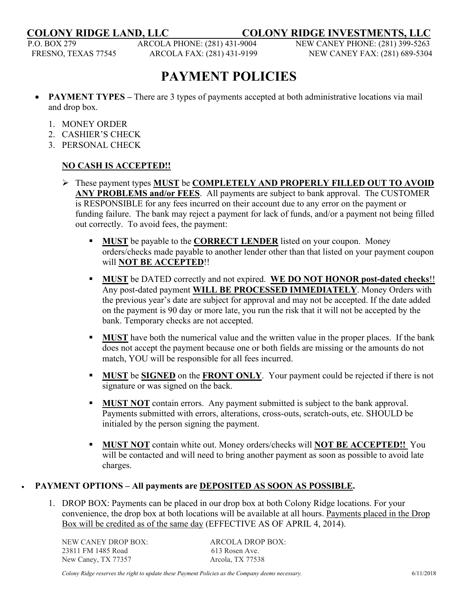**COLONY RIDGE LAND, LLC \_\_\_\_ COLONY RIDGE INVESTMENTS, LLC**

P.O. BOX 279 ARCOLA PHONE: (281) 431-9004 NEW CANEY PHONE: (281) 399-5263

FRESNO, TEXAS 77545 ARCOLA FAX: (281) 431-9199 NEW CANEY FAX: (281) 689-5304

## **PAYMENT POLICIES**

- **PAYMENT TYPES –** There are 3 types of payments accepted at both administrative locations via mail and drop box.
	- 1. MONEY ORDER
	- 2. CASHIER'S CHECK
	- 3. PERSONAL CHECK

## **NO CASH IS ACCEPTED!!**

- These payment types **MUST** be **COMPLETELY AND PROPERLY FILLED OUT TO AVOID ANY PROBLEMS and/or FEES**. All payments are subject to bank approval. The CUSTOMER is RESPONSIBLE for any fees incurred on their account due to any error on the payment or funding failure. The bank may reject a payment for lack of funds, and/or a payment not being filled out correctly. To avoid fees, the payment:
	- **MUST** be payable to the **CORRECT LENDER** listed on your coupon. Money orders/checks made payable to another lender other than that listed on your payment coupon will **NOT BE ACCEPTED**!!
	- **MUST** be DATED correctly and not expired. **WE DO NOT HONOR post-dated checks**!! Any post-dated payment **WILL BE PROCESSED IMMEDIATELY**. Money Orders with the previous year's date are subject for approval and may not be accepted. If the date added on the payment is 90 day or more late, you run the risk that it will not be accepted by the bank. Temporary checks are not accepted.
	- **MUST** have both the numerical value and the written value in the proper places. If the bank does not accept the payment because one or both fields are missing or the amounts do not match, YOU will be responsible for all fees incurred.
	- **MUST** be **SIGNED** on the **FRONT ONLY**. Your payment could be rejected if there is not signature or was signed on the back.
	- **MUST NOT** contain errors. Any payment submitted is subject to the bank approval. Payments submitted with errors, alterations, cross-outs, scratch-outs, etc. SHOULD be initialed by the person signing the payment.
	- **MUST NOT** contain white out. Money orders/checks will **NOT BE ACCEPTED!!** You will be contacted and will need to bring another payment as soon as possible to avoid late charges.

## • **PAYMENT OPTIONS – All payments are DEPOSITED AS SOON AS POSSIBLE.**

1. DROP BOX: Payments can be placed in our drop box at both Colony Ridge locations. For your convenience, the drop box at both locations will be available at all hours. Payments placed in the Drop Box will be credited as of the same day (EFFECTIVE AS OF APRIL 4, 2014).

NEW CANEY DROP BOX: ARCOLA DROP BOX: 23811 FM 1485 Road 613 Rosen Ave. New Caney, TX 77357 Arcola, TX 77538